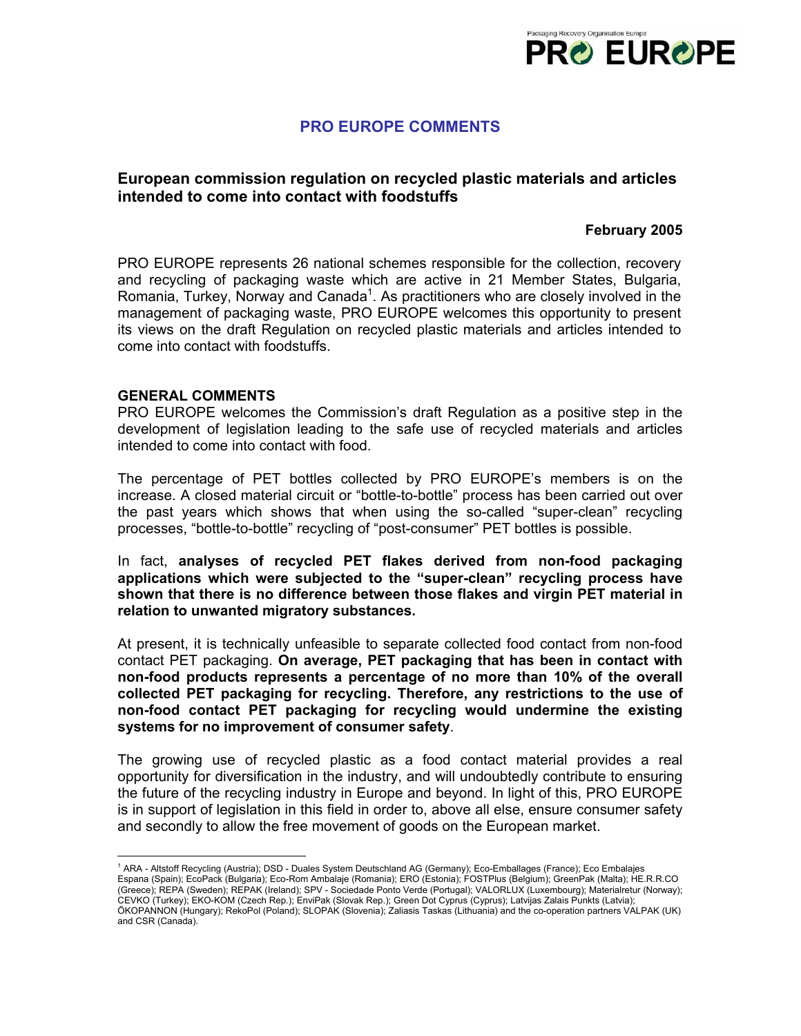

# **PRO EUROPE COMMENTS**

## **European commission regulation on recycled plastic materials and articles intended to come into contact with foodstuffs**

### **February 2005**

PRO EUROPE represents 26 national schemes responsible for the collection, recovery and recycling of packaging waste which are active in 21 Member States, Bulgaria, Romania, Turkey, Norway and Canada<sup>1</sup>. As practitioners who are closely involved in the management of packaging waste, PRO EUROPE welcomes this opportunity to present its views on the draft Regulation on recycled plastic materials and articles intended to come into contact with foodstuffs.

#### **GENERAL COMMENTS**

PRO EUROPE welcomes the Commission's draft Regulation as a positive step in the development of legislation leading to the safe use of recycled materials and articles intended to come into contact with food.

The percentage of PET bottles collected by PRO EUROPE's members is on the increase. A closed material circuit or "bottle-to-bottle" process has been carried out over the past years which shows that when using the so-called "super-clean" recycling processes, "bottle-to-bottle" recycling of "post-consumer" PET bottles is possible.

In fact, **analyses of recycled PET flakes derived from non-food packaging applications which were subjected to the "super-clean" recycling process have shown that there is no difference between those flakes and virgin PET material in relation to unwanted migratory substances.** 

At present, it is technically unfeasible to separate collected food contact from non-food contact PET packaging. **On average, PET packaging that has been in contact with non-food products represents a percentage of no more than 10% of the overall collected PET packaging for recycling. Therefore, any restrictions to the use of non-food contact PET packaging for recycling would undermine the existing systems for no improvement of consumer safety**.

The growing use of recycled plastic as a food contact material provides a real opportunity for diversification in the industry, and will undoubtedly contribute to ensuring the future of the recycling industry in Europe and beyond. In light of this, PRO EUROPE is in support of legislation in this field in order to, above all else, ensure consumer safety and secondly to allow the free movement of goods on the European market.

 1 ARA - Altstoff Recycling (Austria); DSD - Duales System Deutschland AG (Germany); Eco-Emballages (France); Eco Embalajes Espana (Spain); EcoPack (Bulgaria); Eco-Rom Ambalaje (Romania); ERO (Estonia); FOSTPlus (Belgium); GreenPak (Malta); HE.R.R.CO (Greece); REPA (Sweden); REPAK (Ireland); SPV - Sociedade Ponto Verde (Portugal); VALORLUX (Luxembourg); Materialretur (Norway); CEVKO (Turkey); EKO-KOM (Czech Rep.); EnviPak (Slovak Rep.); Green Dot Cyprus (Cyprus); Latvijas Zalais Punkts (Latvia); ÖKOPANNON (Hungary); RekoPol (Poland); SLOPAK (Slovenia); Zaliasis Taskas (Lithuania) and the co-operation partners VALPAK (UK) and CSR (Canada).